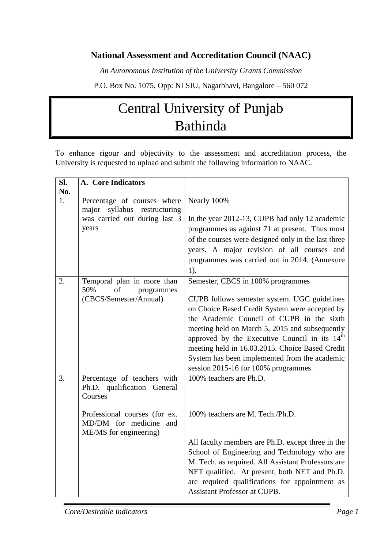# **National Assessment and Accreditation Council (NAAC)**

*An Autonomous Institution of the University Grants Commission*

P.O. Box No. 1075, Opp: NLSIU, Nagarbhavi, Bangalore – 560 072

# Central University of Punjab Bathinda

To enhance rigour and objectivity to the assessment and accreditation process, the University is requested to upload and submit the following information to NAAC.

| Sl. | A. Core Indicators                                         |                                                                 |
|-----|------------------------------------------------------------|-----------------------------------------------------------------|
| No. |                                                            |                                                                 |
| 1.  | Percentage of courses where                                | Nearly 100%                                                     |
|     | major<br>syllabus restructuring                            |                                                                 |
|     | was carried out during last 3                              | In the year 2012-13, CUPB had only 12 academic                  |
|     | years                                                      | programmes as against 71 at present. Thus most                  |
|     |                                                            | of the courses were designed only in the last three             |
|     |                                                            | years. A major revision of all courses and                      |
|     |                                                            | programmes was carried out in 2014. (Annexure                   |
|     |                                                            | $1$ ).                                                          |
| 2.  | Temporal plan in more than                                 | Semester, CBCS in 100% programmes                               |
|     | 50%<br>of<br>programmes                                    |                                                                 |
|     | (CBCS/Semester/Annual)                                     | CUPB follows semester system. UGC guidelines                    |
|     |                                                            | on Choice Based Credit System were accepted by                  |
|     |                                                            | the Academic Council of CUPB in the sixth                       |
|     |                                                            | meeting held on March 5, 2015 and subsequently                  |
|     |                                                            | approved by the Executive Council in its 14 <sup>th</sup>       |
|     |                                                            | meeting held in 16.03.2015. Choice Based Credit                 |
|     |                                                            | System has been implemented from the academic                   |
|     |                                                            | session 2015-16 for 100% programmes.<br>100% teachers are Ph.D. |
| 3.  | Percentage of teachers with<br>Ph.D. qualification General |                                                                 |
|     | Courses                                                    |                                                                 |
|     |                                                            |                                                                 |
|     | Professional courses (for ex.                              | 100% teachers are M. Tech./Ph.D.                                |
|     | MD/DM for medicine<br>and                                  |                                                                 |
|     | ME/MS for engineering)                                     |                                                                 |
|     |                                                            | All faculty members are Ph.D. except three in the               |
|     |                                                            | School of Engineering and Technology who are                    |
|     |                                                            | M. Tech. as required. All Assistant Professors are              |
|     |                                                            | NET qualified. At present, both NET and Ph.D.                   |
|     |                                                            | are required qualifications for appointment as                  |
|     |                                                            | <b>Assistant Professor at CUPB.</b>                             |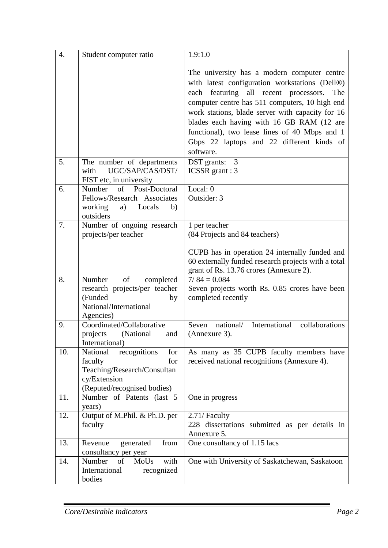| $\overline{4}$ . | Student computer ratio                                                                                                          | 1.9:1.0                                                                                                                                                                                                                                                                                                                                                                                                     |
|------------------|---------------------------------------------------------------------------------------------------------------------------------|-------------------------------------------------------------------------------------------------------------------------------------------------------------------------------------------------------------------------------------------------------------------------------------------------------------------------------------------------------------------------------------------------------------|
|                  |                                                                                                                                 | The university has a modern computer centre<br>with latest configuration workstations (Dell®)<br>each featuring all recent processors.<br>The<br>computer centre has 511 computers, 10 high end<br>work stations, blade server with capacity for 16<br>blades each having with 16 GB RAM (12 are<br>functional), two lease lines of 40 Mbps and 1<br>Gbps 22 laptops and 22 different kinds of<br>software. |
| 5.               | The number of departments<br>UGC/SAP/CAS/DST/<br>with<br>FIST etc, in university                                                | DST grants:<br>3<br><b>ICSSR</b> grant: 3                                                                                                                                                                                                                                                                                                                                                                   |
| 6.               | of<br>Post-Doctoral<br>Number<br>Fellows/Research Associates<br>working<br>a)<br>Locals<br>b)<br>outsiders                      | Local: 0<br>Outsider: 3                                                                                                                                                                                                                                                                                                                                                                                     |
| 7.               | Number of ongoing research<br>projects/per teacher                                                                              | 1 per teacher<br>(84 Projects and 84 teachers)<br>CUPB has in operation 24 internally funded and<br>60 externally funded research projects with a total<br>grant of Rs. 13.76 crores (Annexure 2).                                                                                                                                                                                                          |
| 8.               | of<br>Number<br>completed<br>research projects/per teacher<br>(Funded<br>by<br>National/International<br>Agencies)              | $7/84 = 0.084$<br>Seven projects worth Rs. 0.85 crores have been<br>completed recently                                                                                                                                                                                                                                                                                                                      |
| 9.               | Coordinated/Collaborative<br>(National<br>projects<br>and<br>International)                                                     | national/<br>International<br>collaborations<br>Seven<br>(Annexure 3).                                                                                                                                                                                                                                                                                                                                      |
| 10.              | National<br>recognitions<br>for<br>for<br>faculty<br>Teaching/Research/Consultan<br>cy/Extension<br>(Reputed/recognised bodies) | As many as 35 CUPB faculty members have<br>received national recognitions (Annexure 4).                                                                                                                                                                                                                                                                                                                     |
| 11.              | Number of Patents (last 5<br>years)                                                                                             | One in progress                                                                                                                                                                                                                                                                                                                                                                                             |
| 12.              | Output of M.Phil. & Ph.D. per<br>faculty                                                                                        | 2.71/ Faculty<br>228 dissertations submitted as per details in<br>Annexure 5.                                                                                                                                                                                                                                                                                                                               |
| 13.              | from<br>Revenue<br>generated<br>consultancy per year                                                                            | One consultancy of 1.15 lacs                                                                                                                                                                                                                                                                                                                                                                                |
| 14.              | Number<br>of<br>MoUs<br>with<br>International<br>recognized<br>bodies                                                           | One with University of Saskatchewan, Saskatoon                                                                                                                                                                                                                                                                                                                                                              |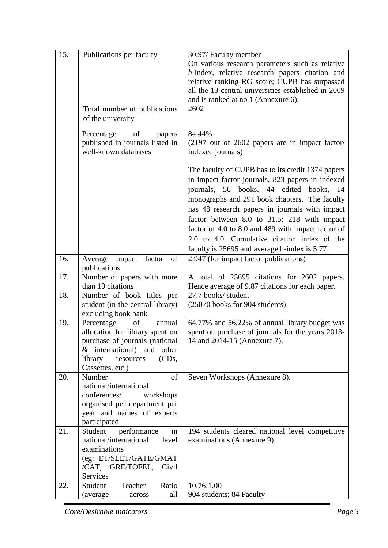| 15. | Publications per faculty         | 30.97/ Faculty member                                             |
|-----|----------------------------------|-------------------------------------------------------------------|
|     |                                  | On various research parameters such as relative                   |
|     |                                  | h-index, relative research papers citation and                    |
|     |                                  | relative ranking RG score; CUPB has surpassed                     |
|     |                                  | all the 13 central universities established in 2009               |
|     |                                  | and is ranked at no 1 (Annexure 6).                               |
|     |                                  | 2602                                                              |
|     | Total number of publications     |                                                                   |
|     | of the university                |                                                                   |
|     | of<br>Percentage<br>papers       | 84.44%                                                            |
|     | published in journals listed in  | $(2197 \text{ out of } 2602 \text{ papers are in impact factor})$ |
|     | well-known databases             | indexed journals)                                                 |
|     |                                  |                                                                   |
|     |                                  | The faculty of CUPB has to its credit 1374 papers                 |
|     |                                  | in impact factor journals, 823 papers in indexed                  |
|     |                                  | journals, 56 books, 44 edited books, 14                           |
|     |                                  | monographs and 291 book chapters. The faculty                     |
|     |                                  | has 48 research papers in journals with impact                    |
|     |                                  | factor between 8.0 to 31.5; 218 with impact                       |
|     |                                  |                                                                   |
|     |                                  | factor of 4.0 to 8.0 and 489 with impact factor of                |
|     |                                  | 2.0 to 4.0. Cumulative citation index of the                      |
|     |                                  | faculty is 25695 and average h-index is 5.77.                     |
| 16. | Average impact factor<br>of      | 2.947 (for impact factor publications)                            |
|     | publications                     |                                                                   |
| 17. | Number of papers with more       | A total of 25695 citations for 2602 papers.                       |
|     | than 10 citations                | Hence average of 9.87 citations for each paper.                   |
| 18. | Number of book titles per        | 27.7 books/ student                                               |
|     | student (in the central library) | (25070 books for 904 students)                                    |
|     | excluding book bank              |                                                                   |
| 19. | Percentage<br>of<br>annual       | 64.77% and 56.22% of annual library budget was                    |
|     | allocation for library spent on  | spent on purchase of journals for the years 2013-                 |
|     | purchase of journals (national   | 14 and 2014-15 (Annexure 7).                                      |
|     | $&$ international) and other     |                                                                   |
|     | library<br>(CDs,<br>resources    |                                                                   |
|     | Cassettes, etc.)                 |                                                                   |
| 20. | Number<br>of                     | Seven Workshops (Annexure 8).                                     |
|     | national/international           |                                                                   |
|     | conferences/<br>workshops        |                                                                   |
|     | organised per department per     |                                                                   |
|     | year and names of experts        |                                                                   |
|     | participated                     |                                                                   |
| 21. | in<br>performance<br>Student     | 194 students cleared national level competitive                   |
|     | national/international<br>level  | examinations (Annexure 9).                                        |
|     | examinations                     |                                                                   |
|     | (eg: ET/SLET/GATE/GMAT           |                                                                   |
|     | /CAT, GRE/TOFEL,<br>Civil        |                                                                   |
|     | Services                         |                                                                   |
| 22. | Teacher<br>Ratio<br>Student      | 10.76:1.00                                                        |
|     | all<br>(average)<br>across       | 904 students; 84 Faculty                                          |

*Core/Desirable Indicators Page 3*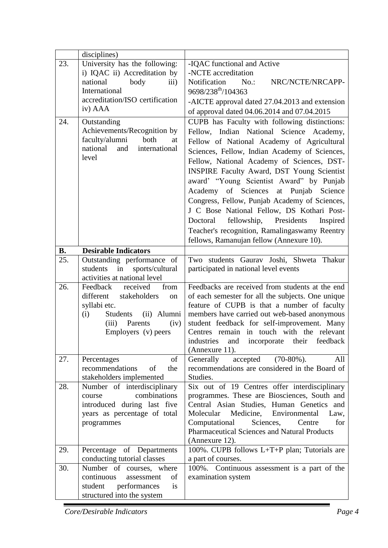|           | disciplines)                                               |                                                                                             |
|-----------|------------------------------------------------------------|---------------------------------------------------------------------------------------------|
| 23.       | University has the following:                              | -IQAC functional and Active                                                                 |
|           | i) IQAC ii) Accreditation by                               | -NCTE accreditation                                                                         |
|           | national<br>body<br>$\overline{iii}$                       | Notification<br>$No.$ :<br>NRC/NCTE/NRCAPP-                                                 |
|           | International                                              | 9698/238 <sup>th</sup> /104363                                                              |
|           | accreditation/ISO certification                            | -AICTE approval dated 27.04.2013 and extension                                              |
|           | iv) AAA                                                    | of approval dated 04.06.2014 and 07.04.2015                                                 |
| 24.       | Outstanding                                                | CUPB has Faculty with following distinctions:                                               |
|           | Achievements/Recognition by                                | Fellow, Indian National Science Academy,                                                    |
|           | faculty/alumni<br>both<br>at                               | Fellow of National Academy of Agricultural                                                  |
|           | national<br>and<br>international                           | Sciences, Fellow, Indian Academy of Sciences,                                               |
|           | level                                                      | Fellow, National Academy of Sciences, DST-                                                  |
|           |                                                            |                                                                                             |
|           |                                                            | <b>INSPIRE Faculty Award, DST Young Scientist</b>                                           |
|           |                                                            | award' "Young Scientist Award" by Punjab                                                    |
|           |                                                            | Academy of Sciences at Punjab<br>Science                                                    |
|           |                                                            | Congress, Fellow, Punjab Academy of Sciences,                                               |
|           |                                                            | J C Bose National Fellow, DS Kothari Post-                                                  |
|           |                                                            | Doctoral fellowship, Presidents<br>Inspired                                                 |
|           |                                                            | Teacher's recognition, Ramalingaswamy Reentry                                               |
|           |                                                            | fellows, Ramanujan fellow (Annexure 10).                                                    |
| <b>B.</b> | <b>Desirable Indicators</b>                                |                                                                                             |
| 25.       | Outstanding performance of                                 | Two students Gaurav Joshi, Shweta Thakur                                                    |
|           | students<br>in<br>sports/cultural                          | participated in national level events                                                       |
|           | activities at national level                               |                                                                                             |
| 26.       | Feedback<br>from<br>received                               | Feedbacks are received from students at the end                                             |
|           | different<br>stakeholders<br>on                            | of each semester for all the subjects. One unique                                           |
|           | syllabi etc.<br>(ii) Alumni<br>Students                    | feature of CUPB is that a number of faculty                                                 |
|           | (i)<br>Parents<br>(iii)<br>(iv)                            | members have carried out web-based anonymous<br>student feedback for self-improvement. Many |
|           | Employers (v) peers                                        | Centres remain in touch with the relevant                                                   |
|           |                                                            | industries and incorporate their feedback                                                   |
|           |                                                            | (Annexure 11).                                                                              |
| 27.       | of<br>Percentages                                          | $(70-80\%)$ .<br>Generally<br>accepted<br>All                                               |
|           | recommendations<br>of<br>the                               | recommendations are considered in the Board of                                              |
|           | stakeholders implemented                                   | Studies.                                                                                    |
| 28.       | Number of interdisciplinary                                | Six out of 19 Centres offer interdisciplinary                                               |
|           | combinations<br>course                                     | programmes. These are Biosciences, South and                                                |
|           | introduced during last five                                | Central Asian Studies, Human Genetics and                                                   |
|           | years as percentage of total                               | Molecular<br>Medicine,<br>Environmental<br>Law,                                             |
|           | programmes                                                 | Computational<br>Sciences,<br>for<br>Centre                                                 |
|           |                                                            | <b>Pharmaceutical Sciences and Natural Products</b>                                         |
|           |                                                            | (Annexure 12).                                                                              |
| 29.       | Percentage of Departments                                  | 100%. CUPB follows L+T+P plan; Tutorials are                                                |
|           | conducting tutorial classes                                | a part of courses.                                                                          |
| 30.       | Number of courses, where<br>continuous<br>of<br>assessment | 100%. Continuous assessment is a part of the                                                |
|           | is                                                         | examination system                                                                          |
|           | performances<br>student                                    |                                                                                             |
|           | structured into the system                                 |                                                                                             |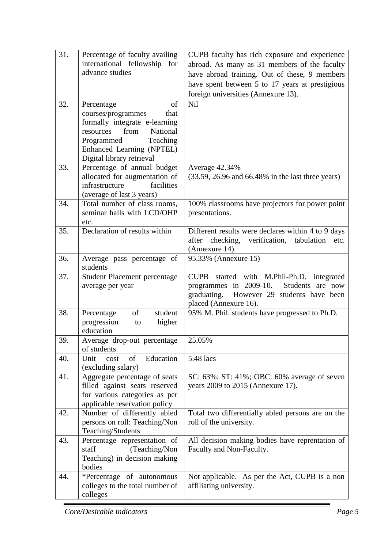| 31. | Percentage of faculty availing            | CUPB faculty has rich exposure and experience                           |
|-----|-------------------------------------------|-------------------------------------------------------------------------|
|     | international fellowship for              | abroad. As many as 31 members of the faculty                            |
|     | advance studies                           | have abroad training. Out of these, 9 members                           |
|     |                                           | have spent between 5 to 17 years at prestigious                         |
|     |                                           | foreign universities (Annexure 13).                                     |
| 32. | Percentage<br>of                          | Nil                                                                     |
|     | courses/programmes<br>that                |                                                                         |
|     | formally integrate e-learning             |                                                                         |
|     | National<br>from<br>resources             |                                                                         |
|     | Teaching<br>Programmed                    |                                                                         |
|     | Enhanced Learning (NPTEL)                 |                                                                         |
|     | Digital library retrieval                 |                                                                         |
| 33. | Percentage of annual budget               | Average 42.34%                                                          |
|     | allocated for augmentation of             | (33.59, 26.96 and 66.48% in the last three years)                       |
|     | infrastructure<br>facilities              |                                                                         |
|     | (average of last 3 years)                 |                                                                         |
| 34. | Total number of class rooms,              | 100% classrooms have projectors for power point                         |
|     | seminar halls with LCD/OHP                | presentations.                                                          |
|     | etc.                                      |                                                                         |
| 35. | Declaration of results within             | Different results were declares within 4 to 9 days                      |
|     |                                           | checking, verification, tabulation<br>after<br>etc.                     |
|     |                                           | (Annexure 14).                                                          |
| 36. | Average pass percentage of                | 95.33% (Annexure 15)                                                    |
|     | students                                  |                                                                         |
| 37. | <b>Student Placement percentage</b>       | <b>CUPB</b><br>started with M.Phil-Ph.D. integrated                     |
|     | average per year                          | programmes in 2009-10. Students are now                                 |
|     |                                           | However 29 students have been<br>graduating.                            |
| 38. | of<br>student                             | placed (Annexure 16).<br>95% M. Phil. students have progressed to Ph.D. |
|     | Percentage<br>progression<br>higher<br>to |                                                                         |
|     | education                                 |                                                                         |
| 39. | Average drop-out percentage               | 25.05%                                                                  |
|     | of students                               |                                                                         |
| 40. | Unit<br>of<br>Education<br>cost           | 5.48 lacs                                                               |
|     | (excluding salary)                        |                                                                         |
| 41. | Aggregate percentage of seats             | SC: 63%; ST: 41%; OBC: 60% average of seven                             |
|     | filled against seats reserved             | years 2009 to 2015 (Annexure 17).                                       |
|     | for various categories as per             |                                                                         |
|     | applicable reservation policy             |                                                                         |
| 42. | Number of differently abled               | Total two differentially abled persons are on the                       |
|     | persons on roll: Teaching/Non             | roll of the university.                                                 |
|     | Teaching/Students                         |                                                                         |
| 43. | Percentage representation of              | All decision making bodies have reprentation of                         |
|     | (Teaching/Non<br>staff                    | Faculty and Non-Faculty.                                                |
|     | Teaching) in decision making              |                                                                         |
|     | bodies                                    |                                                                         |
| 44. | *Percentage of autonomous                 | Not applicable. As per the Act, CUPB is a non                           |
|     | colleges to the total number of           | affiliating university.                                                 |
|     | colleges                                  |                                                                         |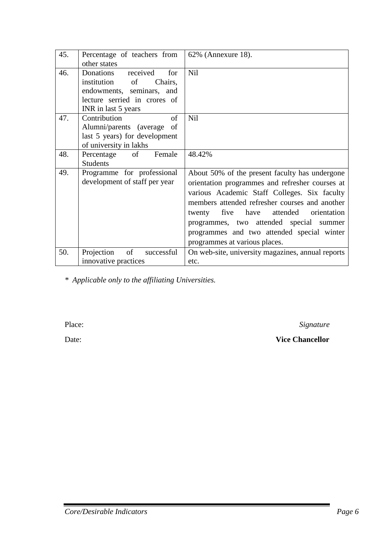| 45. | Percentage of teachers from    | 62% (Annexure 18).                                |
|-----|--------------------------------|---------------------------------------------------|
|     | other states                   |                                                   |
| 46. | Donations<br>received<br>for   | Nil                                               |
|     | institution<br>Chairs,<br>of   |                                                   |
|     | endowments, seminars, and      |                                                   |
|     | lecture serried in crores of   |                                                   |
|     | INR in last 5 years            |                                                   |
| 47. | Contribution<br>of             | Nil                                               |
|     | Alumni/parents (average of     |                                                   |
|     | last 5 years) for development  |                                                   |
|     | of university in lakhs         |                                                   |
| 48. | Percentage of<br>Female        | 48.42%                                            |
|     | <b>Students</b>                |                                                   |
| 49. | Programme for professional     | About 50% of the present faculty has undergone    |
|     | development of staff per year  | orientation programmes and refresher courses at   |
|     |                                | various Academic Staff Colleges. Six faculty      |
|     |                                | members attended refresher courses and another    |
|     |                                | attended<br>twenty five have<br>orientation       |
|     |                                | programmes, two attended special summer           |
|     |                                | programmes and two attended special winter        |
|     |                                |                                                   |
|     |                                | programmes at various places.                     |
| 50. | of<br>Projection<br>successful | On web-site, university magazines, annual reports |
|     | innovative practices           | etc.                                              |

*\* Applicable only to the affiliating Universities.*

Place: *Signature* 

Date: **Vice Chancellor**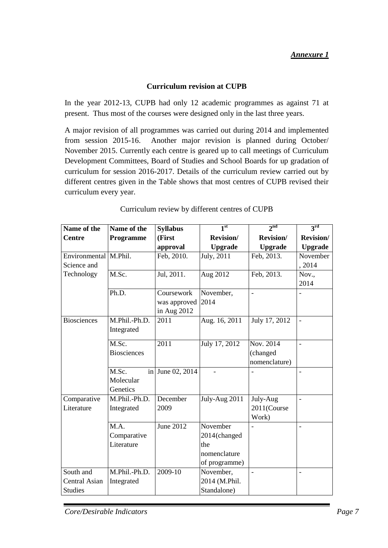## **Curriculum revision at CUPB**

In the year 2012-13, CUPB had only 12 academic programmes as against 71 at present. Thus most of the courses were designed only in the last three years.

A major revision of all programmes was carried out during 2014 and implemented from session 2015-16. Another major revision is planned during October/ November 2015. Currently each centre is geared up to call meetings of Curriculum Development Committees, Board of Studies and School Boards for up gradation of curriculum for session 2016-2017. Details of the curriculum review carried out by different centres given in the Table shows that most centres of CUPB revised their curriculum every year.

| Name of the             | Name of the        | <b>Syllabus</b>   | 1 <sup>st</sup>  | 2 <sub>nd</sub> | $\mathbf{a}^{\text{rd}}$ |
|-------------------------|--------------------|-------------------|------------------|-----------------|--------------------------|
| <b>Centre</b>           | <b>Programme</b>   | (First            | <b>Revision/</b> | Revision/       | <b>Revision/</b>         |
|                         |                    | approval          | <b>Upgrade</b>   | <b>Upgrade</b>  | <b>Upgrade</b>           |
| Environmental   M.Phil. |                    | Feb, 2010.        | July, 2011       | Feb, 2013.      | November                 |
| Science and             |                    |                   |                  |                 | , 2014                   |
| Technology              | M.Sc.              | Jul, 2011.        | Aug 2012         | Feb, 2013.      | Nov.,                    |
|                         |                    |                   |                  |                 | 2014                     |
|                         | Ph.D.              | Coursework        | November,        | $\overline{a}$  |                          |
|                         |                    | was approved 2014 |                  |                 |                          |
|                         |                    | in Aug 2012       |                  |                 |                          |
| <b>Biosciences</b>      | M.Phil.-Ph.D.      | 2011              | Aug. 16, 2011    | July 17, 2012   | $\overline{a}$           |
|                         | Integrated         |                   |                  |                 |                          |
|                         | M.Sc.              | 2011              | July 17, 2012    | Nov. 2014       | $\overline{\phantom{0}}$ |
|                         | <b>Biosciences</b> |                   |                  | (changed        |                          |
|                         |                    |                   |                  | nomenclature)   |                          |
|                         | M.Sc.              | in June 02, 2014  |                  |                 |                          |
|                         | Molecular          |                   |                  |                 |                          |
|                         | Genetics           |                   |                  |                 |                          |
| Comparative             | M.Phil.-Ph.D.      | December          | July-Aug 2011    | July-Aug        | $\overline{a}$           |
| Literature              | Integrated         | 2009              |                  | 2011(Course     |                          |
|                         |                    |                   |                  | Work)           |                          |
|                         | M.A.               | <b>June 2012</b>  | November         |                 |                          |
|                         | Comparative        |                   | 2014(changed     |                 |                          |
|                         | Literature         |                   | the              |                 |                          |
|                         |                    |                   | nomenclature     |                 |                          |
|                         |                    |                   | of programme)    |                 |                          |
| South and               | M.Phil.-Ph.D.      | 2009-10           | November,        | $\overline{a}$  | $\overline{a}$           |
| Central Asian           | Integrated         |                   | 2014 (M.Phil.    |                 |                          |
| <b>Studies</b>          |                    |                   | Standalone)      |                 |                          |

## Curriculum review by different centres of CUPB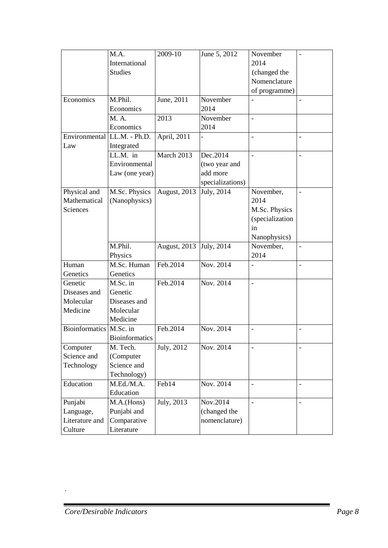|                             | M.A.                  | 2009-10                   | June 5, 2012            | November        |                          |
|-----------------------------|-----------------------|---------------------------|-------------------------|-----------------|--------------------------|
|                             | International         |                           |                         | 2014            |                          |
|                             | <b>Studies</b>        |                           |                         | (changed the    |                          |
|                             |                       |                           |                         | Nomenclature    |                          |
|                             |                       |                           |                         | of programme)   |                          |
| Economics                   | M.Phil.               | June, 2011                | November                |                 |                          |
|                             | Economics             |                           | 2014                    |                 |                          |
|                             | M. A.                 | 2013                      | November                |                 |                          |
|                             | Economics             |                           | 2014                    |                 |                          |
| Environmental LL.M. - Ph.D. |                       | April, 2011               |                         |                 |                          |
| Law                         | Integrated            |                           |                         |                 |                          |
|                             | LL.M. in              | March 2013                | Dec.2014                |                 |                          |
|                             | Environmental         |                           | (two year and           |                 |                          |
|                             | Law (one year)        |                           | add more                |                 |                          |
|                             |                       |                           | specializations)        |                 |                          |
| Physical and                | M.Sc. Physics         | August, $201\overline{3}$ | July, $201\overline{4}$ | November,       | $\overline{\phantom{a}}$ |
| Mathematical                | (Nanophysics)         |                           |                         | 2014            |                          |
| Sciences                    |                       |                           |                         | M.Sc. Physics   |                          |
|                             |                       |                           |                         | (specialization |                          |
|                             |                       |                           |                         | in              |                          |
|                             |                       |                           |                         | Nanophysics)    |                          |
|                             | M.Phil.               | August, 2013 July, 2014   |                         | November,       |                          |
|                             | Physics               |                           |                         | 2014            |                          |
| Human                       | M.Sc. Human           | Feb.2014                  | Nov. 2014               |                 | $\overline{\phantom{0}}$ |
| Genetics                    | Genetics              |                           |                         |                 |                          |
| Genetic                     | M.Sc. in              | Feb.2014                  | Nov. 2014               |                 |                          |
| Diseases and                | Genetic               |                           |                         |                 |                          |
| Molecular                   | Diseases and          |                           |                         |                 |                          |
| Medicine                    | Molecular             |                           |                         |                 |                          |
|                             | Medicine              |                           |                         |                 |                          |
| <b>Bioinformatics</b>       | M.Sc. in              | Feb.2014                  | Nov. 2014               |                 |                          |
|                             | <b>Bioinformatics</b> |                           |                         |                 |                          |
| Computer                    | M. Tech.              | July, 2012                | Nov. 2014               |                 |                          |
| Science and                 | (Computer             |                           |                         |                 |                          |
| Technology                  | Science and           |                           |                         |                 |                          |
|                             | Technology)           |                           |                         |                 |                          |
| Education                   | M.Ed.M.A.             | $\text{Feb14}$            | Nov. 2014               |                 |                          |
|                             | Education             |                           |                         |                 |                          |
| Punjabi                     | M.A.(Hons)            | July, $\overline{2013}$   | Nov.2014                |                 |                          |
| Language,                   | Punjabi and           |                           | (changed the            |                 |                          |
| Literature and              | Comparative           |                           | nomenclature)           |                 |                          |
| Culture                     | Literature            |                           |                         |                 |                          |

.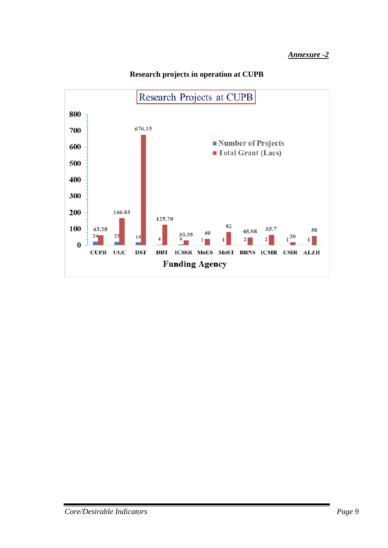

## **Research projects in operation at CUPB**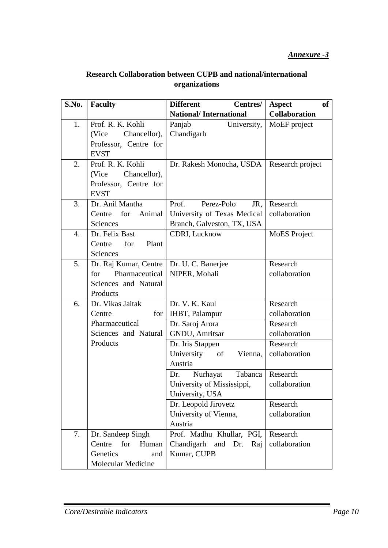| <b>Research Collaboration between CUPB and national/international</b> |
|-----------------------------------------------------------------------|
| organizations                                                         |

| S.No. | <b>Faculty</b>             | <b>Different</b><br>Centres/  | <b>of</b><br><b>Aspect</b> |
|-------|----------------------------|-------------------------------|----------------------------|
|       |                            | <b>National/International</b> | <b>Collaboration</b>       |
| 1.    | Prof. R. K. Kohli          | Panjab<br>University,         | MoEF project               |
|       | Chancellor),<br>(Vice      | Chandigarh                    |                            |
|       | Professor, Centre for      |                               |                            |
|       | <b>EVST</b>                |                               |                            |
| 2.    | Prof. R. K. Kohli          | Dr. Rakesh Monocha, USDA      | Research project           |
|       | Chancellor),<br>(Vice      |                               |                            |
|       | Professor, Centre for      |                               |                            |
|       | <b>EVST</b>                |                               |                            |
| 3.    | Dr. Anil Mantha            | Perez-Polo<br>Prof.<br>JR,    | Research                   |
|       | for<br>Animal<br>Centre    | University of Texas Medical   | collaboration              |
|       | Sciences                   | Branch, Galveston, TX, USA    |                            |
| 4.    | Dr. Felix Bast             | <b>CDRI</b> , Lucknow         | <b>MoES</b> Project        |
|       | for<br>Plant<br>Centre     |                               |                            |
|       | Sciences                   |                               |                            |
| 5.    | Dr. Raj Kumar, Centre      | Dr. U. C. Banerjee            | Research                   |
|       | Pharmaceutical<br>for      | NIPER, Mohali                 | collaboration              |
|       | Sciences and Natural       |                               |                            |
|       | Products                   |                               |                            |
| 6.    | Dr. Vikas Jaitak           | Dr. V. K. Kaul                | Research                   |
|       | for <sub>l</sub><br>Centre | <b>IHBT, Palampur</b>         | collaboration              |
|       | Pharmaceutical             | Dr. Saroj Arora               | Research                   |
|       | Sciences and Natural       | GNDU, Amritsar                | collaboration              |
|       | Products                   | Dr. Iris Stappen              | Research                   |
|       |                            | University<br>Vienna,<br>of   | collaboration              |
|       |                            | Austria                       |                            |
|       |                            | Nurhayat<br>Tabanca<br>Dr.    | Research                   |
|       |                            | University of Mississippi,    | collaboration              |
|       |                            | University, USA               |                            |
|       |                            | Dr. Leopold Jirovetz          | Research                   |
|       |                            | University of Vienna,         | collaboration              |
|       |                            | Austria                       |                            |
| 7.    | Dr. Sandeep Singh          | Prof. Madhu Khullar, PGI,     | Research                   |
|       | Centre<br>for<br>Human     | Chandigarh and Dr.<br>Raj     | collaboration              |
|       | Genetics<br>and            | Kumar, CUPB                   |                            |
|       | <b>Molecular Medicine</b>  |                               |                            |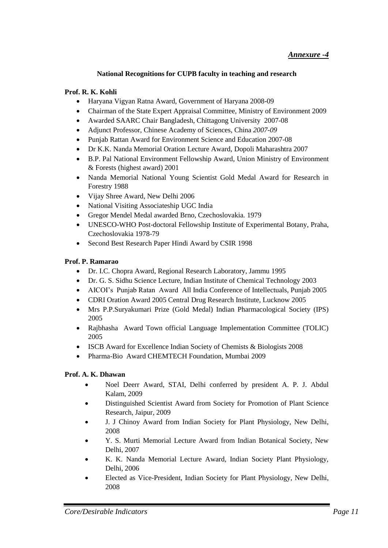#### **National Recognitions for CUPB faculty in teaching and research**

#### **Prof. R. K. Kohli**

- Haryana Vigyan Ratna Award, Government of Haryana 2008-09
- Chairman of the State Expert Appraisal Committee, Ministry of Environment 2009
- Awarded SAARC Chair Bangladesh, Chittagong University 2007-08
- Adjunct Professor, Chinese Academy of Sciences, China *2007-09*
- Punjab Rattan Award for Environment Science and Education 2007-08
- Dr K.K. Nanda Memorial Oration Lecture Award, Dopoli Maharashtra 2007
- B.P. Pal National Environment Fellowship Award, Union Ministry of Environment & Forests (highest award) 2001
- Nanda Memorial National Young Scientist Gold Medal Award for Research in Forestry 1988
- Vijay Shree Award, New Delhi 2006
- National Visiting Associateship UGC India
- Gregor Mendel Medal awarded Brno, Czechoslovakia*.* 1979
- UNESCO-WHO Post-doctoral Fellowship Institute of Experimental Botany, Praha, Czechoslovakia 1978-79
- Second Best Research Paper Hindi Award by CSIR 1998

#### **Prof. P. Ramarao**

- Dr. I.C. Chopra Award, Regional Research Laboratory, Jammu 1995
- Dr. G. S. Sidhu Science Lecture, Indian Institute of Chemical Technology 2003
- AICOI"s Punjab Ratan Award All India Conference of Intellectuals, Punjab 2005
- CDRI Oration Award 2005 Central Drug Research Institute, Lucknow 2005
- Mrs P.P.Suryakumari Prize (Gold Medal) Indian Pharmacological Society (IPS) 2005
- Rajbhasha Award Town official Language Implementation Committee (TOLIC) 2005
- ISCB Award for Excellence Indian Society of Chemists & Biologists 2008
- Pharma-Bio Award CHEMTECH Foundation, Mumbai 2009

#### **Prof. A. K. Dhawan**

- Noel Deerr Award, STAI, Delhi conferred by president A. P. J. Abdul Kalam, 2009
- Distinguished Scientist Award from Society for Promotion of Plant Science Research, Jaipur, 2009
- J. J Chinoy Award from Indian Society for Plant Physiology, New Delhi, 2008
- Y. S. Murti Memorial Lecture Award from Indian Botanical Society, New Delhi, 2007
- K. K. Nanda Memorial Lecture Award, Indian Society Plant Physiology, Delhi, 2006
- Elected as Vice-President, Indian Society for Plant Physiology, New Delhi, 2008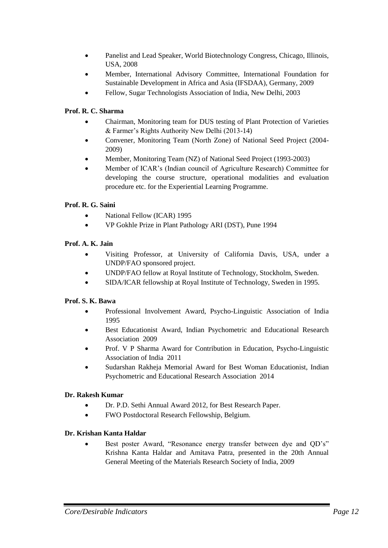- Panelist and Lead Speaker, World Biotechnology Congress, Chicago, Illinois, USA, 2008
- Member, International Advisory Committee, International Foundation for Sustainable Development in Africa and Asia (IFSDAA), Germany, 2009
- Fellow, Sugar Technologists Association of India, New Delhi, 2003

## **Prof. R. C. Sharma**

- Chairman, Monitoring team for DUS testing of Plant Protection of Varieties & Farmer"s Rights Authority New Delhi (2013-14)
- Convener, Monitoring Team (North Zone) of National Seed Project (2004- 2009)
- Member, Monitoring Team (NZ) of National Seed Project (1993-2003)
- Member of ICAR"s (Indian council of Agriculture Research) Committee for developing the course structure, operational modalities and evaluation procedure etc. for the Experiential Learning Programme.

## **Prof. R. G. Saini**

- National Fellow (ICAR) 1995
- VP Gokhle Prize in Plant Pathology ARI (DST), Pune 1994

## **Prof. A. K. Jain**

- Visiting Professor, at University of California Davis, USA, under a UNDP/FAO sponsored project.
- UNDP/FAO fellow at Royal Institute of Technology, Stockholm, Sweden.
- SIDA/ICAR fellowship at Royal Institute of Technology, Sweden in 1995.

## **Prof. S. K. Bawa**

- Professional Involvement Award, Psycho-Linguistic Association of India 1995
- Best Educationist Award, Indian Psychometric and Educational Research Association 2009
- Prof. V P Sharma Award for Contribution in Education, Psycho-Linguistic Association of India 2011
- Sudarshan Rakheja Memorial Award for Best Woman Educationist, Indian Psychometric and Educational Research Association 2014

## **Dr. Rakesh Kumar**

- Dr. P.D. Sethi Annual Award 2012, for Best Research Paper.
- FWO Postdoctoral Research Fellowship, Belgium.

#### **Dr. Krishan Kanta Haldar**

Best poster Award, "Resonance energy transfer between dye and QD's" Krishna Kanta Haldar and Amitava Patra, presented in the 20th Annual General Meeting of the Materials Research Society of India, 2009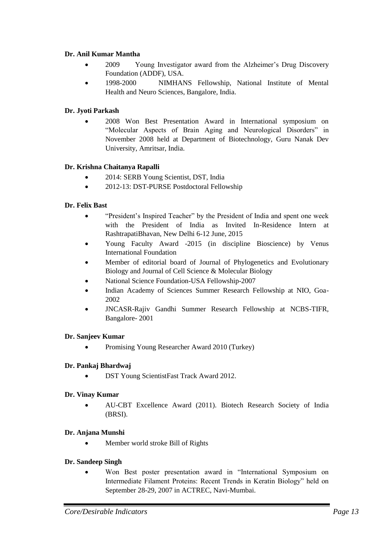#### **Dr. Anil Kumar Mantha**

- 2009 Young Investigator award from the Alzheimer"s Drug Discovery Foundation (ADDF), USA.
- 1998-2000 NIMHANS Fellowship, National Institute of Mental Health and Neuro Sciences, Bangalore, India.

## **Dr. Jyoti Parkash**

 2008 Won Best Presentation Award in International symposium on "Molecular Aspects of Brain Aging and Neurological Disorders" in November 2008 held at Department of Biotechnology, Guru Nanak Dev University, Amritsar, India.

#### **Dr. Krishna Chaitanya Rapalli**

- 2014: SERB Young Scientist, DST, India
- 2012-13: DST-PURSE Postdoctoral Fellowship

#### **Dr. Felix Bast**

- "President"s Inspired Teacher" by the President of India and spent one week with the President of India as Invited In-Residence Intern at RashtrapatiBhavan, New Delhi 6-12 June, 2015
- Young Faculty Award -2015 (in discipline Bioscience) by Venus International Foundation
- Member of editorial board of Journal of Phylogenetics and Evolutionary Biology and Journal of Cell Science & Molecular Biology
- National Science Foundation-USA Fellowship-2007
- Indian Academy of Sciences Summer Research Fellowship at NIO, Goa-2002
- JNCASR-Rajiv Gandhi Summer Research Fellowship at NCBS-TIFR, Bangalore- 2001

#### **Dr. Sanjeev Kumar**

Promising Young Researcher Award 2010 (Turkey)

#### **Dr. Pankaj Bhardwaj**

DST Young ScientistFast Track Award 2012.

#### **Dr. Vinay Kumar**

 AU-CBT Excellence Award (2011). Biotech Research Society of India (BRSI).

#### **Dr. Anjana Munshi**

• Member world stroke Bill of Rights

#### **Dr. Sandeep Singh**

 Won Best poster presentation award in "International Symposium on Intermediate Filament Proteins: Recent Trends in Keratin Biology" held on September 28-29, 2007 in ACTREC, Navi-Mumbai.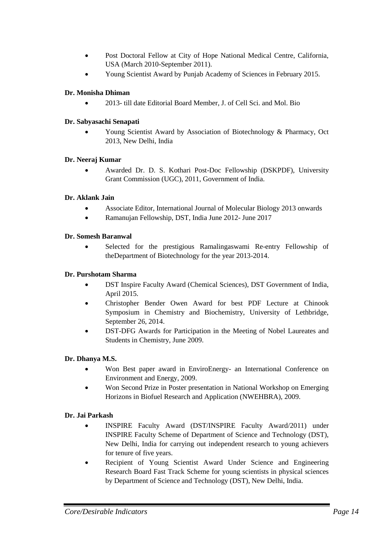- Post Doctoral Fellow at City of Hope National Medical Centre, California, USA (March 2010-September 2011).
- Young Scientist Award by Punjab Academy of Sciences in February 2015.

## **Dr. Monisha Dhiman**

2013- till date Editorial Board Member, J. of Cell Sci. and Mol. Bio

## **Dr. Sabyasachi Senapati**

 Young Scientist Award by Association of Biotechnology & Pharmacy, Oct 2013, New Delhi, India

#### **Dr. Neeraj Kumar**

 Awarded Dr. D. S. Kothari Post-Doc Fellowship (DSKPDF), University Grant Commission (UGC), 2011, Government of India.

#### **Dr. Aklank Jain**

- Associate Editor, International Journal of Molecular Biology 2013 onwards
- Ramanujan Fellowship, DST, India June 2012- June 2017

#### **Dr. Somesh Baranwal**

 Selected for the prestigious Ramalingaswami Re-entry Fellowship of theDepartment of Biotechnology for the year 2013-2014.

#### **Dr. Purshotam Sharma**

- DST Inspire Faculty Award (Chemical Sciences), DST Government of India, April 2015.
- Christopher Bender Owen Award for best PDF Lecture at Chinook Symposium in Chemistry and Biochemistry, University of Lethbridge, September 26, 2014.
- DST-DFG Awards for Participation in the Meeting of Nobel Laureates and Students in Chemistry, June 2009.

## **Dr. Dhanya M.S.**

- Won Best paper award in EnviroEnergy- an International Conference on Environment and Energy, 2009.
- Won Second Prize in Poster presentation in National Workshop on Emerging Horizons in Biofuel Research and Application (NWEHBRA), 2009.

## **Dr. Jai Parkash**

- INSPIRE Faculty Award (DST/INSPIRE Faculty Award/2011) under INSPIRE Faculty Scheme of Department of Science and Technology (DST), New Delhi, India for carrying out independent research to young achievers for tenure of five years.
- Recipient of Young Scientist Award Under Science and Engineering Research Board Fast Track Scheme for young scientists in physical sciences by Department of Science and Technology (DST), New Delhi, India.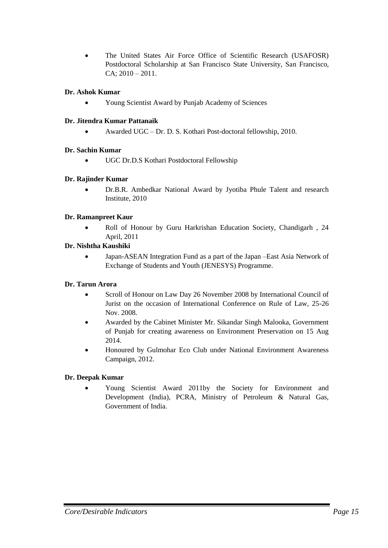• The United States Air Force Office of Scientific Research (USAFOSR) Postdoctoral Scholarship at San Francisco State University, San Francisco,  $CA$ ;  $2010 - 2011$ .

## **Dr. Ashok Kumar**

Young Scientist Award by Punjab Academy of Sciences

#### **Dr. Jitendra Kumar Pattanaik**

Awarded UGC – Dr. D. S. Kothari Post-doctoral fellowship, 2010.

#### **Dr. Sachin Kumar**

UGC Dr.D.S Kothari Postdoctoral Fellowship

#### **Dr. Rajinder Kumar**

 Dr.B.R. Ambedkar National Award by Jyotiba Phule Talent and research Institute, 2010

#### **Dr. Ramanpreet Kaur**

• Roll of Honour by Guru Harkrishan Education Society, Chandigarh, 24 April, 2011

#### **Dr. Nishtha Kaushiki**

 Japan-ASEAN Integration Fund as a part of the Japan –East Asia Network of Exchange of Students and Youth (JENESYS) Programme.

## **Dr. Tarun Arora**

- Scroll of Honour on Law Day 26 November 2008 by International Council of Jurist on the occasion of International Conference on Rule of Law, 25-26 Nov. 2008.
- Awarded by the Cabinet Minister Mr. Sikandar Singh Malooka, Government of Punjab for creating awareness on Environment Preservation on 15 Aug 2014.
- Honoured by Gulmohar Eco Club under National Environment Awareness Campaign, 2012.

## **Dr. Deepak Kumar**

 Young Scientist Award 2011by the Society for Environment and Development (India), PCRA, Ministry of Petroleum & Natural Gas, Government of India.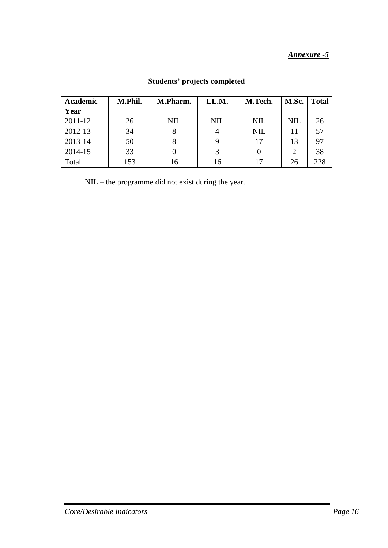| <b>Academic</b> | M.Phil. | M.Pharm.   | LL.M.      | M.Tech.    | M.Sc.      | <b>Total</b> |
|-----------------|---------|------------|------------|------------|------------|--------------|
| Year            |         |            |            |            |            |              |
| 2011-12         | 26      | <b>NIL</b> | <b>NIL</b> | <b>NIL</b> | <b>NIL</b> | 26           |
| 2012-13         | 34      |            |            | <b>NIL</b> | 11         | 57           |
| 2013-14         | 50      |            |            | 17         | 13         | 97           |
| 2014-15         | 33      |            |            |            | 2          | 38           |
| Total           | 153     |            | 16         | 17         | 26         | 228          |

# **Students' projects completed**

NIL – the programme did not exist during the year.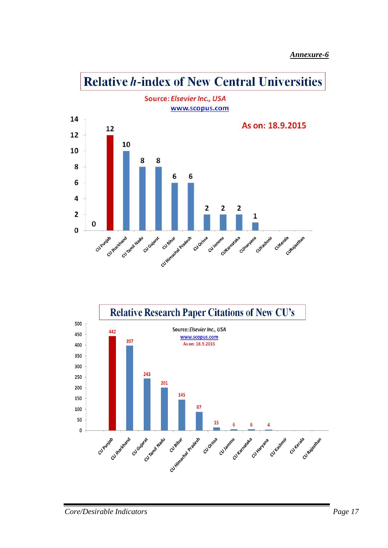

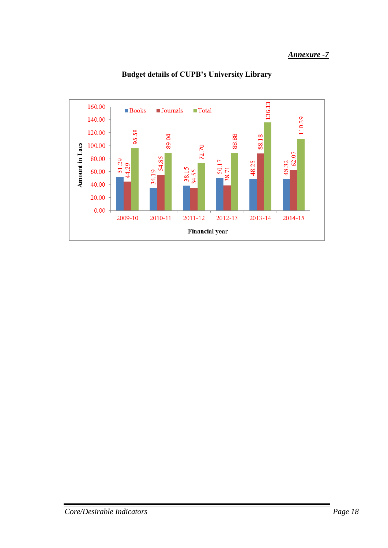

**Budget details of CUPB's University Library**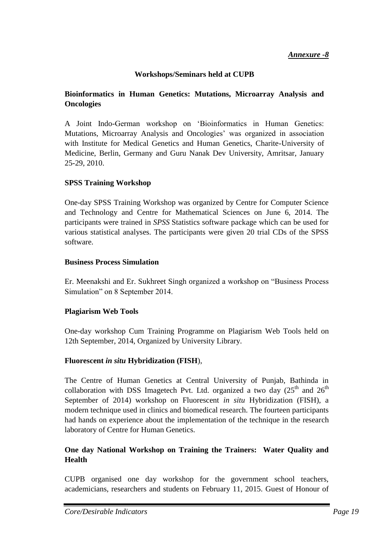## **Workshops/Seminars held at CUPB**

## **Bioinformatics in Human Genetics: Mutations, Microarray Analysis and Oncologies**

A Joint Indo-German workshop on "Bioinformatics in Human Genetics: Mutations, Microarray Analysis and Oncologies" was organized in association with Institute for Medical Genetics and Human Genetics, Charite-University of Medicine, Berlin, Germany and Guru Nanak Dev University, Amritsar, January 25-29, 2010.

## **SPSS Training Workshop**

One-day SPSS Training Workshop was organized by Centre for Computer Science and Technology and Centre for Mathematical Sciences on June 6, 2014. The participants were trained in *SPSS* Statistics software package which can be used for various statistical analyses. The participants were given 20 trial CDs of the SPSS software.

## **Business Process Simulation**

Er. Meenakshi and Er. Sukhreet Singh organized a workshop on "Business Process Simulation" on 8 September 2014.

## **Plagiarism Web Tools**

One-day workshop Cum Training Programme on Plagiarism Web Tools held on 12th September, 2014, Organized by University Library.

## **Fluorescent** *in situ* **Hybridization (FISH**),

The Centre of Human Genetics at Central University of Punjab, Bathinda in collaboration with DSS Imagetech Pvt. Ltd. organized a two day  $(25<sup>th</sup>$  and  $26<sup>th</sup>$ September of 2014) workshop on Fluorescent *in situ* Hybridization (FISH), a modern technique used in clinics and biomedical research. The fourteen participants had hands on experience about the implementation of the technique in the research laboratory of Centre for Human Genetics.

## **One day National Workshop on Training the Trainers: Water Quality and Health**

CUPB organised one day workshop for the government school teachers, academicians, researchers and students on February 11, 2015. Guest of Honour of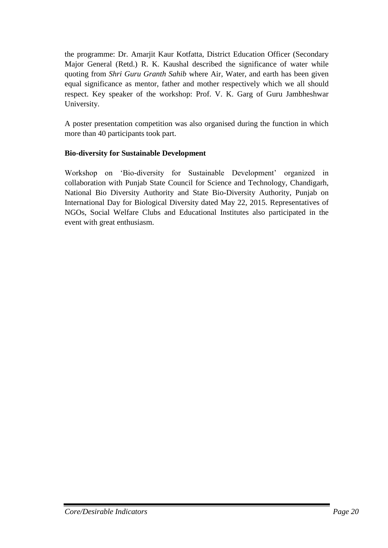the programme: Dr. Amarjit Kaur Kotfatta, District Education Officer (Secondary Major General (Retd.) R. K. Kaushal described the significance of water while quoting from *Shri Guru Granth Sahib* where Air, Water, and earth has been given equal significance as mentor, father and mother respectively which we all should respect. Key speaker of the workshop: Prof. V. K. Garg of Guru Jambheshwar University.

A poster presentation competition was also organised during the function in which more than 40 participants took part.

## **Bio-diversity for Sustainable Development**

Workshop on 'Bio-diversity for Sustainable Development' organized in collaboration with Punjab State Council for Science and Technology, Chandigarh, National Bio Diversity Authority and State Bio-Diversity Authority, Punjab on International Day for Biological Diversity dated May 22, 2015. Representatives of NGOs, Social Welfare Clubs and Educational Institutes also participated in the event with great enthusiasm.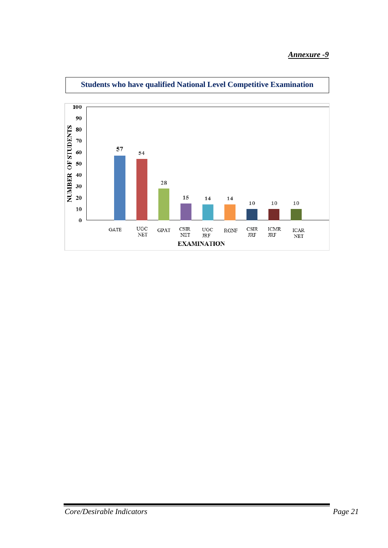

**Students who have qualified National Level Competitive Examination**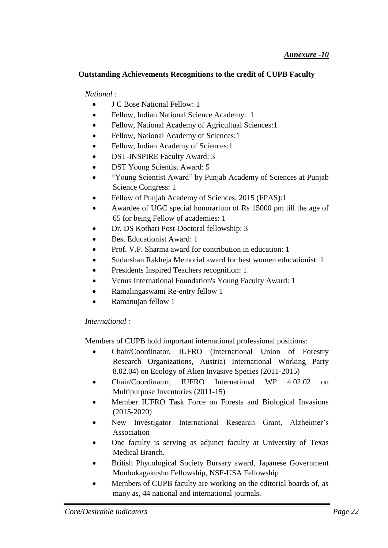## **Outstanding Achievements Recognitions to the credit of CUPB Faculty**

*National :* 

- J C Bose National Fellow: 1
- Fellow, Indian National Science Academy: 1
- Fellow, National Academy of Agricultual Sciences: 1
- Fellow, National Academy of Sciences:1
- Fellow, Indian Academy of Sciences:1
- DST-INSPIRE Faculty Award: 3
- DST Young Scientist Award: 5
- "Young Scientist Award" by Punjab Academy of Sciences at Punjab Science Congress: 1
- Fellow of Punjab Academy of Sciences, 2015 (FPAS):1
- Awardee of UGC special honorarium of Rs 15000 pm till the age of 65 for being Fellow of academies: 1
- Dr. DS Kothari Post-Doctoral fellowship: 3
- Best Educationist Award: 1
- Prof. V.P. Sharma award for contribution in education: 1
- Sudarshan Rakheja Memorial award for best women educationist: 1
- Presidents Inspired Teachers recognition: 1
- Venus International Foundation's Young Faculty Award: 1
- Ramalingaswami Re-entry fellow 1
- Ramanujan fellow 1

## *International :*

Members of CUPB hold important international professional positions:

- Chair/Coordinator, IUFRO (International Union of Forestry Research Organizations, Austria) International Working Party 8.02.04) on Ecology of Alien Invasive Species (2011-2015)
- Chair/Coordinator, IUFRO International WP 4.02.02 on Multipurpose Inventories (2011-15)
- Member IUFRO Task Force on Forests and Biological Invasions (2015-2020)
- New Investigator International Research Grant, Alzheimer"s Association
- One faculty is serving as adjunct faculty at University of Texas Medical Branch.
- British Phycological Society Bursary award, Japanese Government Monbukagakusho Fellowship, NSF-USA Fellowship
- Members of CUPB faculty are working on the editorial boards of, as many as, 44 national and international journals.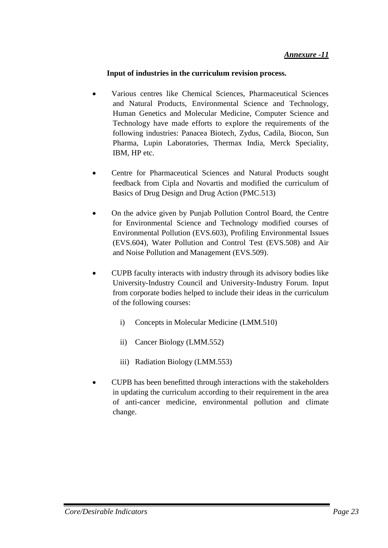## **Input of industries in the curriculum revision process.**

- Various centres like Chemical Sciences, Pharmaceutical Sciences and Natural Products, Environmental Science and Technology, Human Genetics and Molecular Medicine, Computer Science and Technology have made efforts to explore the requirements of the following industries: Panacea Biotech, Zydus, Cadila, Biocon, Sun Pharma, Lupin Laboratories, Thermax India, Merck Speciality, IBM, HP etc.
- Centre for Pharmaceutical Sciences and Natural Products sought feedback from Cipla and Novartis and modified the curriculum of Basics of Drug Design and Drug Action (PMC.513)
- On the advice given by Punjab Pollution Control Board, the Centre for Environmental Science and Technology modified courses of Environmental Pollution (EVS.603), Profiling Environmental Issues (EVS.604), Water Pollution and Control Test (EVS.508) and Air and Noise Pollution and Management (EVS.509).
- CUPB faculty interacts with industry through its advisory bodies like University-Industry Council and University-Industry Forum. Input from corporate bodies helped to include their ideas in the curriculum of the following courses:
	- i) Concepts in Molecular Medicine (LMM.510)
	- ii) Cancer Biology (LMM.552)
	- iii) Radiation Biology (LMM.553)
- CUPB has been benefitted through interactions with the stakeholders in updating the curriculum according to their requirement in the area of anti-cancer medicine, environmental pollution and climate change.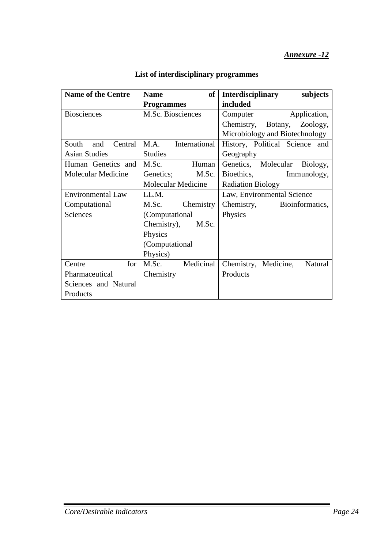| <b>Name of the Centre</b> | of<br><b>Name</b>     | <b>Interdisciplinary</b><br>subjects |  |
|---------------------------|-----------------------|--------------------------------------|--|
|                           | <b>Programmes</b>     | included                             |  |
| <b>Biosciences</b>        | M.Sc. Biosciences     | Application,<br>Computer             |  |
|                           |                       | Chemistry, Botany, Zoology,          |  |
|                           |                       | Microbiology and Biotechnology       |  |
| Central<br>South<br>and   | M.A.<br>International | History, Political Science and       |  |
| <b>Asian Studies</b>      | <b>Studies</b>        | Geography                            |  |
| Human Genetics and        | M.Sc.<br>Human        | Genetics, Molecular<br>Biology,      |  |
| <b>Molecular Medicine</b> | Genetics;<br>M.Sc.    | Bioethics,<br>Immunology,            |  |
|                           | Molecular Medicine    | <b>Radiation Biology</b>             |  |
| <b>Environmental Law</b>  | LL.M.                 | Law, Environmental Science           |  |
| Computational             | M.Sc. Chemistry       | Chemistry,<br>Bioinformatics,        |  |
| <b>Sciences</b>           | (Computational        | Physics                              |  |
|                           | Chemistry),<br>M.Sc.  |                                      |  |
|                           | Physics               |                                      |  |
|                           | (Computational        |                                      |  |
|                           | Physics)              |                                      |  |
| for<br>Centre             | Medicinal<br>M.Sc.    | Chemistry, Medicine,<br>Natural      |  |
| Pharmaceutical            | Chemistry             | Products                             |  |
| Sciences and Natural      |                       |                                      |  |
| Products                  |                       |                                      |  |

# **List of interdisciplinary programmes**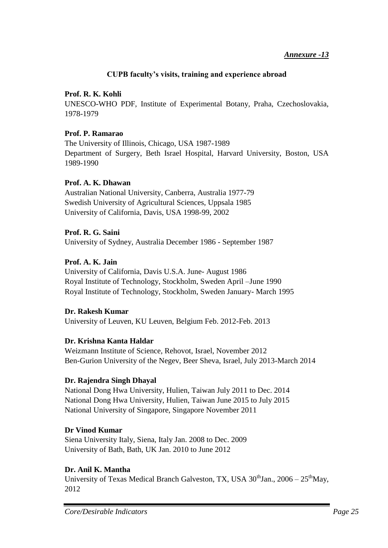## **CUPB faculty's visits, training and experience abroad**

## **Prof. R. K. Kohli**

UNESCO-WHO PDF, Institute of Experimental Botany, Praha, Czechoslovakia, 1978-1979

## **Prof. P. Ramarao**

The University of Illinois, Chicago, USA 1987-1989 Department of Surgery, Beth Israel Hospital, Harvard University, Boston, USA 1989-1990

## **Prof. A. K. Dhawan**

Australian National University, Canberra, Australia 1977-79 Swedish University of Agricultural Sciences, Uppsala 1985 University of California, Davis, USA 1998-99, 2002

## **Prof. R. G. Saini**

University of Sydney, Australia December 1986 - September 1987

## **Prof. A. K. Jain**

University of California, Davis U.S.A. June- August 1986 Royal Institute of Technology, Stockholm, Sweden April –June 1990 Royal Institute of Technology, Stockholm, Sweden January- March 1995

## **Dr. Rakesh Kumar**

University of Leuven, KU Leuven, Belgium Feb. 2012-Feb. 2013

## **Dr. Krishna Kanta Haldar**

Weizmann Institute of Science, Rehovot, Israel, November 2012 Ben-Gurion University of the Negev, Beer Sheva, Israel, July 2013-March 2014

## **Dr. Rajendra Singh Dhayal**

National Dong Hwa University, Hulien, Taiwan July 2011 to Dec. 2014 National Dong Hwa University, Hulien, Taiwan June 2015 to July 2015 National University of Singapore, Singapore November 2011

## **Dr Vinod Kumar**

Siena University Italy, Siena, Italy Jan. 2008 to Dec. 2009 University of Bath, Bath, UK Jan. 2010 to June 2012

## **Dr. Anil K. Mantha**

University of Texas Medical Branch Galveston, TX, USA  $30<sup>th</sup>$ Jan.,  $2006 - 25<sup>th</sup>$ May, 2012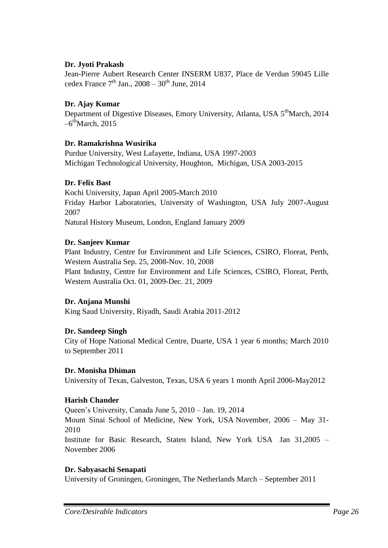## **Dr. Jyoti Prakash**

Jean-Pierre Aubert Research Center INSERM U837, Place de Verdun 59045 Lille cedex France  $7<sup>th</sup>$  Jan., 2008 – 30<sup>th</sup> June, 2014

## **Dr. Ajay Kumar**

Department of Digestive Diseases, Emory University, Atlanta, USA 5<sup>th</sup>March, 2014  $-6^{\text{th}}$ March, 2015

## **Dr. Ramakrishna Wusirika**

Purdue University, West Lafayette, Indiana, USA 1997-2003 Michigan Technological University, Houghton, Michigan, USA 2003-2015

## **Dr. Felix Bast**

Kochi University, Japan April 2005-March 2010 Friday Harbor Laboratories, University of Washington, USA July 2007-August 2007 Natural History Museum, London, England January 2009

#### **Dr. Sanjeev Kumar**

Plant Industry, Centre for Environment and Life Sciences, CSIRO, Floreat, Perth, Western Australia Sep. 25, 2008-Nov. 10, 2008 Plant Industry, Centre for Environment and Life Sciences, CSIRO, Floreat, Perth, Western Australia Oct. 01, 2009-Dec. 21, 2009

## **Dr. Anjana Munshi**

King Saud University, Riyadh, Saudi Arabia 2011-2012

## **Dr. Sandeep Singh**

City of Hope National Medical Centre, Duarte, USA 1 year 6 months; March 2010 to September 2011

#### **Dr. Monisha Dhiman**

University of Texas, Galveston, Texas, USA 6 years 1 month April 2006-May2012

#### **Harish Chander**

Queen"s University, Canada June 5, 2010 – Jan. 19, 2014 Mount Sinai School of Medicine, New York, USA November, 2006 – May 31- 2010 Institute for Basic Research, Staten Island, New York USA Jan 31,2005 – November 2006

## **Dr. Sabyasachi Senapati**

University of Groningen, Groningen, The Netherlands March – September 2011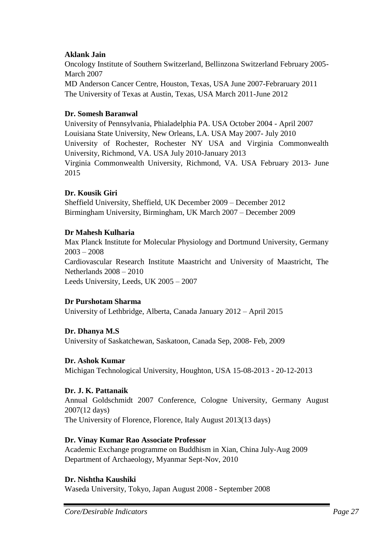## **Aklank Jain**

Oncology Institute of Southern Switzerland, Bellinzona Switzerland February 2005- March 2007 MD Anderson Cancer Centre, Houston, Texas, USA June 2007-Febraruary 2011 The University of Texas at Austin, Texas, USA March 2011-June 2012

## **Dr. Somesh Baranwal**

University of Pennsylvania, Phialadelphia PA. USA October 2004 - April 2007 Louisiana State University, New Orleans, LA. USA May 2007- July 2010 University of Rochester, Rochester NY USA and Virginia Commonwealth University, Richmond, VA. USA July 2010-January 2013 Virginia Commonwealth University, Richmond, VA. USA February 2013- June 2015

## **Dr. Kousik Giri**

Sheffield University, Sheffield, UK December 2009 – December 2012 Birmingham University, Birmingham, UK March 2007 – December 2009

## **Dr Mahesh Kulharia**

Max Planck Institute for Molecular Physiology and Dortmund University, Germany 2003 – 2008 Cardiovascular Research Institute Maastricht and University of Maastricht, The Netherlands 2008 – 2010 Leeds University, Leeds, UK 2005 – 2007

## **Dr Purshotam Sharma**

University of Lethbridge, Alberta, Canada January 2012 – April 2015

## **Dr. Dhanya M.S**

University of Saskatchewan, Saskatoon, Canada Sep, 2008- Feb, 2009

## **Dr. Ashok Kumar**

Michigan Technological University, Houghton, USA 15-08-2013 - 20-12-2013

## **Dr. J. K. Pattanaik**

Annual Goldschmidt 2007 Conference, Cologne University, Germany August 2007(12 days) The University of Florence, Florence, Italy August 2013(13 days)

## **Dr. Vinay Kumar Rao Associate Professor**

Academic Exchange programme on Buddhism in Xian, China July-Aug 2009 Department of Archaeology, Myanmar Sept-Nov, 2010

## **Dr. Nishtha Kaushiki**

Waseda University, Tokyo, Japan August 2008 - September 2008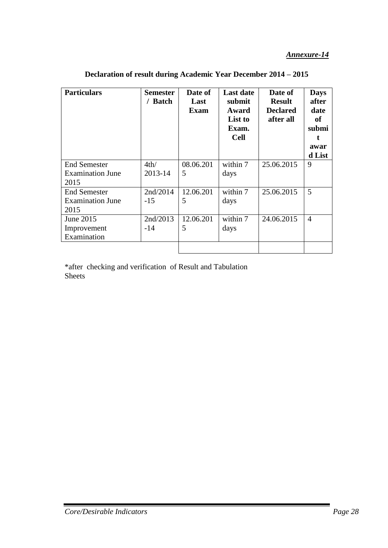| <b>Particulars</b>                                     | <b>Semester</b><br>/ Batch | Date of<br>Last<br><b>Exam</b> | <b>Last date</b><br>submit<br>Award<br>List to<br>Exam.<br><b>Cell</b> | Date of<br><b>Result</b><br><b>Declared</b><br>after all | <b>Days</b><br>after<br>date<br>of<br>submi<br>awar<br>d List |
|--------------------------------------------------------|----------------------------|--------------------------------|------------------------------------------------------------------------|----------------------------------------------------------|---------------------------------------------------------------|
| <b>End Semester</b><br><b>Examination June</b><br>2015 | 4th/<br>2013-14            | 08.06.201<br>5                 | within 7<br>days                                                       | 25.06.2015                                               | 9                                                             |
| <b>End Semester</b><br><b>Examination June</b><br>2015 | 2nd/2014<br>$-15$          | 12.06.201<br>5                 | within 7<br>days                                                       | 25.06.2015                                               | 5                                                             |
| June 2015<br>Improvement<br>Examination                | 2nd/2013<br>$-14$          | 12.06.201<br>5                 | within 7<br>days                                                       | 24.06.2015                                               | $\overline{4}$                                                |

**Declaration of result during Academic Year December 2014 – 2015**

\*after checking and verification of Result and Tabulation Sheets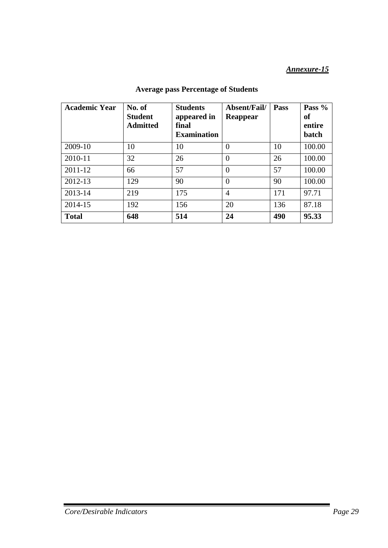| <b>Academic Year</b> | No. of<br><b>Student</b><br><b>Admitted</b> | <b>Students</b><br>appeared in<br>final<br><b>Examination</b> | Absent/Fail/<br>Reappear | Pass | Pass %<br><b>of</b><br>entire<br>batch |
|----------------------|---------------------------------------------|---------------------------------------------------------------|--------------------------|------|----------------------------------------|
| 2009-10              | 10                                          | 10                                                            | $\theta$                 | 10   | 100.00                                 |
| 2010-11              | 32                                          | 26                                                            | $\Omega$                 | 26   | 100.00                                 |
| 2011-12              | 66                                          | 57                                                            | $\overline{0}$           | 57   | 100.00                                 |
| 2012-13              | 129                                         | 90                                                            | $\Omega$                 | 90   | 100.00                                 |
| 2013-14              | 219                                         | 175                                                           | $\overline{4}$           | 171  | 97.71                                  |
| 2014-15              | 192                                         | 156                                                           | 20                       | 136  | 87.18                                  |
| <b>Total</b>         | 648                                         | 514                                                           | 24                       | 490  | 95.33                                  |

## **Average pass Percentage of Students**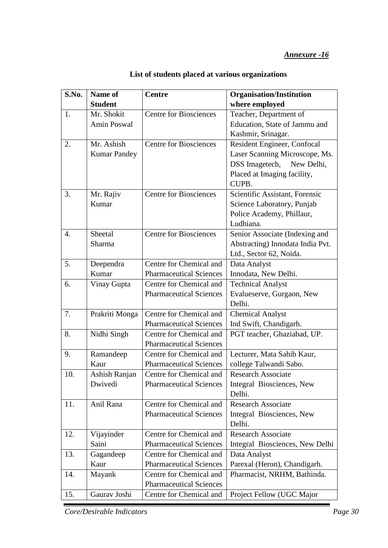| S.No. | Name of             | <b>Centre</b>                  | <b>Organisation/Institution</b>  |
|-------|---------------------|--------------------------------|----------------------------------|
|       | <b>Student</b>      |                                | where employed                   |
| 1.    | Mr. Shokit          | <b>Centre for Biosciences</b>  | Teacher, Department of           |
|       | Amin Poswal         |                                | Education, State of Jammu and    |
|       |                     |                                | Kashmir, Srinagar.               |
| 2.    | Mr. Ashish          | <b>Centre for Biosciences</b>  | Resident Engineer, Confocal      |
|       | <b>Kumar Pandey</b> |                                | Laser Scanning Microscope, Ms.   |
|       |                     |                                | DSS Imagetech,<br>New Delhi,     |
|       |                     |                                | Placed at Imaging facility,      |
|       |                     |                                | CUPB.                            |
| 3.    | Mr. Rajiv           | <b>Centre for Biosciences</b>  | Scientific Assistant, Forensic   |
|       | Kumar               |                                | Science Laboratory, Punjab       |
|       |                     |                                | Police Academy, Phillaur,        |
|       |                     |                                | Ludhiana.                        |
| 4.    | Sheetal             | <b>Centre for Biosciences</b>  | Senior Associate (Indexing and   |
|       | Sharma              |                                | Abstracting) Innodata India Pvt. |
|       |                     |                                | Ltd., Sector 62, Noida.          |
| 5.    | Deependra           | Centre for Chemical and        | Data Analyst                     |
|       | Kumar               | <b>Pharmaceutical Sciences</b> | Innodata, New Delhi.             |
| 6.    | Vinay Gupta         | Centre for Chemical and        | <b>Technical Analyst</b>         |
|       |                     | <b>Pharmaceutical Sciences</b> | Evalueserve, Gurgaon, New        |
|       |                     |                                | Delhi.                           |
| 7.    | Prakriti Monga      | Centre for Chemical and        | <b>Chemical Analyst</b>          |
|       |                     | <b>Pharmaceutical Sciences</b> | Ind Swift, Chandigarh.           |
| 8.    | Nidhi Singh         | Centre for Chemical and        | PGT teacher, Ghaziabad, UP.      |
|       |                     | <b>Pharmaceutical Sciences</b> |                                  |
| 9.    | Ramandeep           | Centre for Chemical and        | Lecturer, Mata Sahib Kaur,       |
|       | Kaur                | <b>Pharmaceutical Sciences</b> | college Talwandi Sabo.           |
| 10.   | Ashish Ranjan       | Centre for Chemical and        | <b>Research Associate</b>        |
|       | Dwivedi             | <b>Pharmaceutical Sciences</b> | Integral Biosciences, New        |
|       |                     |                                | Delhi.                           |
| 11.   | Anil Rana           | Centre for Chemical and        | <b>Research Associate</b>        |
|       |                     | <b>Pharmaceutical Sciences</b> | Integral Biosciences, New        |
|       |                     |                                | Delhi.                           |
| 12.   | Vijayinder          | Centre for Chemical and        | <b>Research Associate</b>        |
|       | Saini               | <b>Pharmaceutical Sciences</b> | Integral Biosciences, New Delhi  |
| 13.   | Gagandeep           | Centre for Chemical and        | Data Analyst                     |
|       | Kaur                | <b>Pharmaceutical Sciences</b> | Parexal (Heron), Chandigarh.     |
| 14.   | Mayank              | Centre for Chemical and        | Pharmacist, NRHM, Bathinda.      |
|       |                     | <b>Pharmaceutical Sciences</b> |                                  |
| 15.   | Gaurav Joshi        | Centre for Chemical and        | Project Fellow (UGC Major        |

## **List of students placed at various organizations**

*Core/Desirable Indicators Page 30*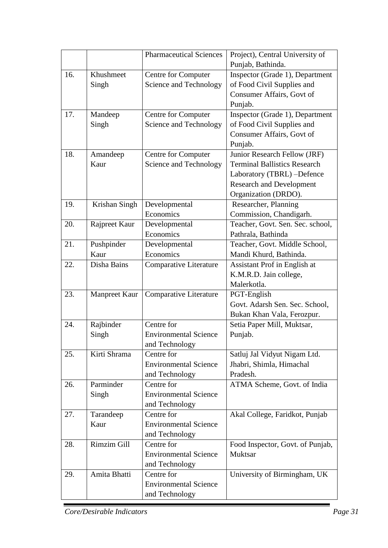|     |               | <b>Pharmaceutical Sciences</b> | Project), Central University of     |
|-----|---------------|--------------------------------|-------------------------------------|
|     |               |                                | Punjab, Bathinda.                   |
| 16. | Khushmeet     | Centre for Computer            | Inspector (Grade 1), Department     |
|     | Singh         | Science and Technology         | of Food Civil Supplies and          |
|     |               |                                | Consumer Affairs, Govt of           |
|     |               |                                | Punjab.                             |
| 17. | Mandeep       | <b>Centre for Computer</b>     | Inspector (Grade 1), Department     |
|     | Singh         | Science and Technology         | of Food Civil Supplies and          |
|     |               |                                | Consumer Affairs, Govt of           |
|     |               |                                | Punjab.                             |
| 18. | Amandeep      | Centre for Computer            | Junior Research Fellow (JRF)        |
|     | Kaur          | Science and Technology         | <b>Terminal Ballistics Research</b> |
|     |               |                                | Laboratory (TBRL) -Defence          |
|     |               |                                | <b>Research and Development</b>     |
|     |               |                                | Organization (DRDO).                |
| 19. | Krishan Singh | Developmental                  | Researcher, Planning                |
|     |               | Economics                      | Commission, Chandigarh.             |
| 20. | Rajpreet Kaur | Developmental                  | Teacher, Govt. Sen. Sec. school,    |
|     |               | Economics                      | Pathrala, Bathinda                  |
| 21. | Pushpinder    | Developmental                  | Teacher, Govt. Middle School,       |
|     | Kaur          | Economics                      | Mandi Khurd, Bathinda.              |
| 22. | Disha Bains   | Comparative Literature         | Assistant Prof in English at        |
|     |               |                                | K.M.R.D. Jain college,              |
|     |               |                                | Malerkotla.                         |
| 23. | Manpreet Kaur | <b>Comparative Literature</b>  | PGT-English                         |
|     |               |                                | Govt. Adarsh Sen. Sec. School,      |
|     |               |                                | Bukan Khan Vala, Ferozpur.          |
| 24. | Rajbinder     | Centre for                     | Setia Paper Mill, Muktsar,          |
|     | Singh         | <b>Environmental Science</b>   | Punjab.                             |
|     |               | and Technology                 |                                     |
| 25. | Kirti Shrama  | Centre for                     | Satluj Jal Vidyut Nigam Ltd.        |
|     |               | <b>Environmental Science</b>   | Jhabri, Shimla, Himachal            |
|     |               | and Technology                 | Pradesh.                            |
| 26. | Parminder     | Centre for                     | ATMA Scheme, Govt. of India         |
|     | Singh         | <b>Environmental Science</b>   |                                     |
|     |               | and Technology                 |                                     |
| 27. | Tarandeep     | Centre for                     | Akal College, Faridkot, Punjab      |
|     | Kaur          | <b>Environmental Science</b>   |                                     |
|     |               | and Technology                 |                                     |
| 28. | Rimzim Gill   | Centre for                     | Food Inspector, Govt. of Punjab,    |
|     |               | <b>Environmental Science</b>   | <b>Muktsar</b>                      |
|     |               | and Technology                 |                                     |
| 29. | Amita Bhatti  | Centre for                     | University of Birmingham, UK        |
|     |               | <b>Environmental Science</b>   |                                     |
|     |               | and Technology                 |                                     |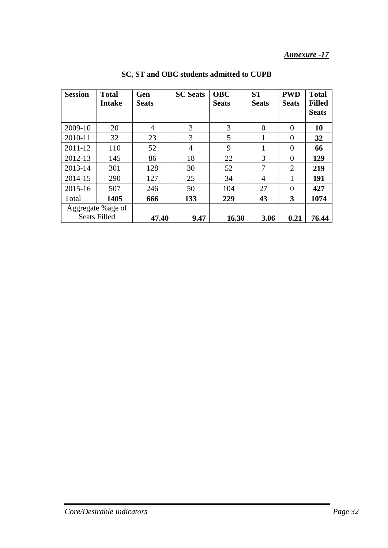| <b>Session</b> | <b>Total</b><br><b>Intake</b>             | Gen<br><b>Seats</b> | <b>SC Seats</b> | <b>OBC</b><br><b>Seats</b> | <b>ST</b><br><b>Seats</b> | <b>PWD</b><br><b>Seats</b> | <b>Total</b><br><b>Filled</b><br><b>Seats</b> |
|----------------|-------------------------------------------|---------------------|-----------------|----------------------------|---------------------------|----------------------------|-----------------------------------------------|
| 2009-10        | 20                                        | $\overline{4}$      | 3               | 3                          | $\theta$                  | $\overline{0}$             | 10                                            |
| 2010-11        | 32                                        | 23                  | 3               | 5                          |                           | $\theta$                   | 32                                            |
| 2011-12        | 110                                       | 52                  | 4               | 9                          |                           | $\overline{0}$             | 66                                            |
| 2012-13        | 145                                       | 86                  | 18              | 22                         | 3                         | $\overline{0}$             | 129                                           |
| 2013-14        | 301                                       | 128                 | 30              | 52                         | 7                         | 2                          | 219                                           |
| 2014-15        | 290                                       | 127                 | 25              | 34                         | 4                         | 1                          | 191                                           |
| 2015-16        | 507                                       | 246                 | 50              | 104                        | 27                        | $\theta$                   | 427                                           |
| Total          | 1405                                      | 666                 | 133             | 229                        | 43                        | 3                          | 1074                                          |
|                | Aggregate % age of<br><b>Seats Filled</b> | 47.40               | 9.47            | 16.30                      | 3.06                      | 0.21                       | 76.44                                         |

**SC, ST and OBC students admitted to CUPB**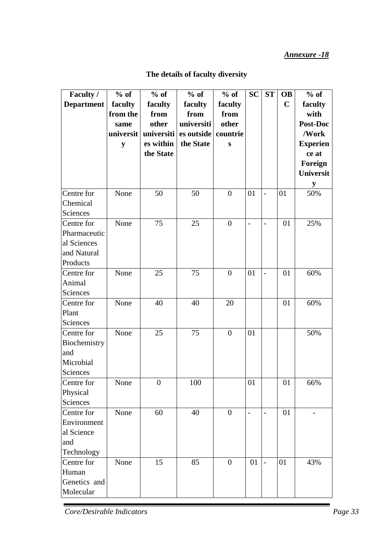| Faculty /         | $%$ of    | $%$ of         | $%$ of     | $%$ of         | <b>SC</b> | ST             | <b>OB</b>   | $%$ of          |
|-------------------|-----------|----------------|------------|----------------|-----------|----------------|-------------|-----------------|
| <b>Department</b> | faculty   | faculty        | faculty    | faculty        |           |                | $\mathbf C$ | faculty         |
|                   | from the  | from           | from       | from           |           |                |             | with            |
|                   | same      | other          | universiti | other          |           |                |             | Post-Doc        |
|                   | universit | universiti     | es outside | countrie       |           |                |             | /Work           |
|                   | y         | es within      | the State  | ${\bf S}$      |           |                |             | <b>Experien</b> |
|                   |           | the State      |            |                |           |                |             | ce at           |
|                   |           |                |            |                |           |                |             | Foreign         |
|                   |           |                |            |                |           |                |             | Universit       |
|                   |           |                |            |                |           |                |             | ${\bf y}$       |
| Centre for        | None      | 50             | 50         | $\overline{0}$ | 01        | $\overline{a}$ | 01          | 50%             |
| Chemical          |           |                |            |                |           |                |             |                 |
| Sciences          |           |                |            |                |           |                |             |                 |
| Centre for        | None      | 75             | 25         | $\overline{0}$ |           |                | 01          | 25%             |
| Pharmaceutic      |           |                |            |                |           |                |             |                 |
| al Sciences       |           |                |            |                |           |                |             |                 |
| and Natural       |           |                |            |                |           |                |             |                 |
| Products          |           |                |            |                |           |                |             |                 |
| Centre for        | None      | 25             | 75         | $\overline{0}$ | 01        | $\overline{a}$ | 01          | 60%             |
| Animal            |           |                |            |                |           |                |             |                 |
| Sciences          |           |                |            |                |           |                |             |                 |
| Centre for        | None      | 40             | 40         | 20             |           |                | 01          | 60%             |
| Plant             |           |                |            |                |           |                |             |                 |
| Sciences          |           |                |            |                |           |                |             |                 |
| Centre for        | None      | 25             | 75         | $\overline{0}$ | 01        |                |             | 50%             |
| Biochemistry      |           |                |            |                |           |                |             |                 |
| and               |           |                |            |                |           |                |             |                 |
| Microbial         |           |                |            |                |           |                |             |                 |
| Sciences          |           |                |            |                |           |                |             |                 |
| Centre for        | None      | $\overline{0}$ | 100        |                | 01        |                | 01          | 66%             |
| Physical          |           |                |            |                |           |                |             |                 |
| Sciences          |           |                |            |                |           |                |             |                 |
| Centre for        | None      | 60             | 40         | $\overline{0}$ |           |                | 01          |                 |
| Environment       |           |                |            |                |           |                |             |                 |
| al Science        |           |                |            |                |           |                |             |                 |
| and               |           |                |            |                |           |                |             |                 |
| Technology        |           |                |            |                |           |                |             |                 |
| Centre for        | None      | 15             | 85         | $\overline{0}$ | 01        |                | 01          | 43%             |
| Human             |           |                |            |                |           |                |             |                 |
| Genetics and      |           |                |            |                |           |                |             |                 |
| Molecular         |           |                |            |                |           |                |             |                 |

## **The details of faculty diversity**

 $\overline{\phantom{a}}$ 

*Core/Desirable Indicators Page 33*

'n